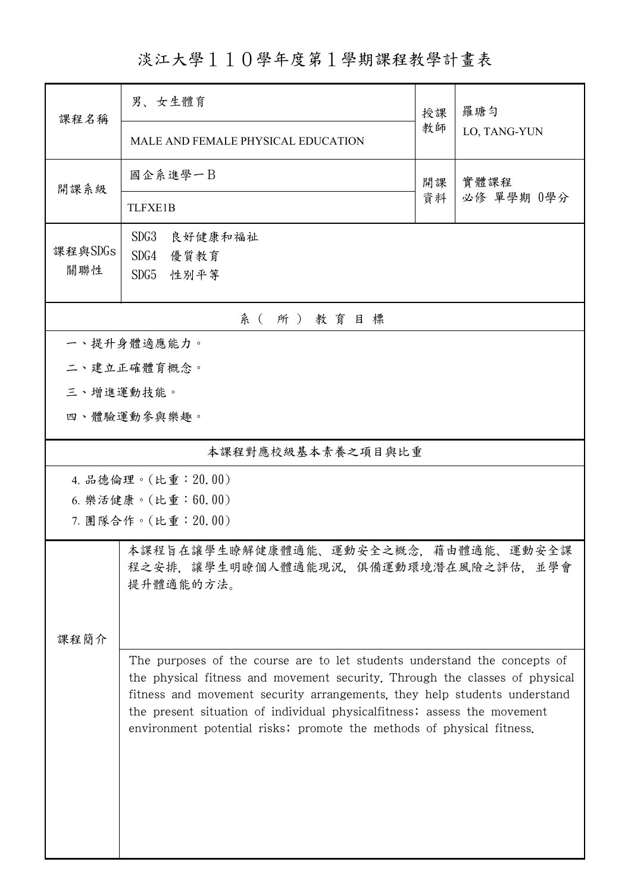淡江大學110學年度第1學期課程教學計畫表

| 課程名稱               | 男、女生體育                                                                                                                                                                                                                                                                                                                                                                                      | 授課 | 羅瑭勻<br>LO, TANG-YUN |  |  |  |
|--------------------|---------------------------------------------------------------------------------------------------------------------------------------------------------------------------------------------------------------------------------------------------------------------------------------------------------------------------------------------------------------------------------------------|----|---------------------|--|--|--|
|                    | MALE AND FEMALE PHYSICAL EDUCATION                                                                                                                                                                                                                                                                                                                                                          | 教師 |                     |  |  |  |
| 開課系級               | 國企系進學一B                                                                                                                                                                                                                                                                                                                                                                                     | 開課 | 實體課程<br>必修 單學期 0學分  |  |  |  |
|                    | <b>TLFXE1B</b>                                                                                                                                                                                                                                                                                                                                                                              | 資料 |                     |  |  |  |
| 課程與SDGs<br>關聯性     | SDG <sub>3</sub><br>良好健康和福祉<br>SDG4<br>優質教育<br>SDG5<br>性別平等                                                                                                                                                                                                                                                                                                                                 |    |                     |  |  |  |
| 系(所)教育目標           |                                                                                                                                                                                                                                                                                                                                                                                             |    |                     |  |  |  |
|                    | 一、提升身體適應能力。                                                                                                                                                                                                                                                                                                                                                                                 |    |                     |  |  |  |
|                    | 二、建立正確體育概念。                                                                                                                                                                                                                                                                                                                                                                                 |    |                     |  |  |  |
| 三、增進運動技能。          |                                                                                                                                                                                                                                                                                                                                                                                             |    |                     |  |  |  |
|                    | 四、體驗運動參與樂趣。                                                                                                                                                                                                                                                                                                                                                                                 |    |                     |  |  |  |
| 本課程對應校級基本素養之項目與比重  |                                                                                                                                                                                                                                                                                                                                                                                             |    |                     |  |  |  |
|                    | 4. 品德倫理。(比重: 20.00)                                                                                                                                                                                                                                                                                                                                                                         |    |                     |  |  |  |
| 6. 樂活健康。(比重:60.00) |                                                                                                                                                                                                                                                                                                                                                                                             |    |                     |  |  |  |
|                    | 7. 團隊合作。(比重:20.00)                                                                                                                                                                                                                                                                                                                                                                          |    |                     |  |  |  |
|                    | 本課程旨在讓學生瞭解健康體適能、運動安全之概念,藉由體適能、運動安全課<br>程之安排, 讓學生明瞭個人體適能現況, 俱備運動環境潛在風險之評估, 並學會<br>提升體適能的方法。                                                                                                                                                                                                                                                                                                  |    |                     |  |  |  |
| 課程簡介               |                                                                                                                                                                                                                                                                                                                                                                                             |    |                     |  |  |  |
|                    | The purposes of the course are to let students understand the concepts of<br>the physical fitness and movement security. Through the classes of physical<br>fitness and movement security arrangements, they help students understand<br>the present situation of individual physical fitness; assess the movement<br>environment potential risks; promote the methods of physical fitness. |    |                     |  |  |  |
|                    |                                                                                                                                                                                                                                                                                                                                                                                             |    |                     |  |  |  |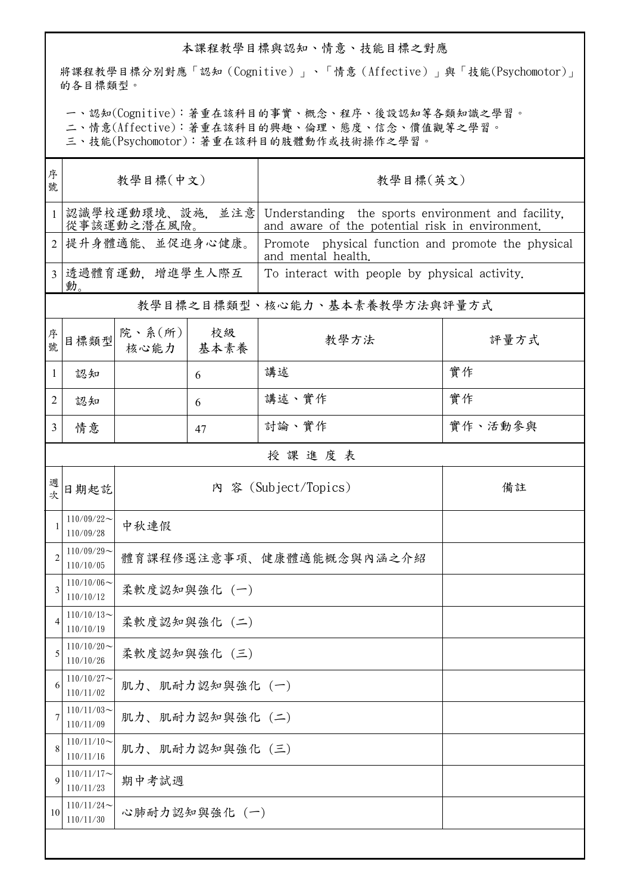## 本課程教學目標與認知、情意、技能目標之對應

將課程教學目標分別對應「認知(Cognitive)」、「情意(Affective)」與「技能(Psychomotor)」 的各目標類型。

一、認知(Cognitive):著重在該科目的事實、概念、程序、後設認知等各類知識之學習。

二、情意(Affective):著重在該科目的興趣、倫理、態度、信念、價值觀等之學習。

三、技能(Psychomotor):著重在該科目的肢體動作或技術操作之學習。

| 序<br>號         | 教學目標(中文)                       |                          |            | 教學目標(英文)                                                                                              |         |  |  |
|----------------|--------------------------------|--------------------------|------------|-------------------------------------------------------------------------------------------------------|---------|--|--|
| $\mathbf{1}$   | 認識學校運動環境、設施,並注意<br>從事該運動之潛在風險。 |                          |            | Understanding the sports environment and facility,<br>and aware of the potential risk in environment. |         |  |  |
| 2              | 提升身體適能、並促進身心健康。                |                          |            | Promote physical function and promote the physical<br>and mental health.                              |         |  |  |
| $\overline{3}$ | 透過體育運動,增進學生人際互<br>動。           |                          |            | To interact with people by physical activity.                                                         |         |  |  |
|                | 教學目標之目標類型、核心能力、基本素養教學方法與評量方式   |                          |            |                                                                                                       |         |  |  |
| 序號             | 目標類型                           | 院、系 $(\kappa)$<br>核心能力   | 校級<br>基本素養 | 教學方法                                                                                                  | 評量方式    |  |  |
| 1              | 認知                             |                          | 6          | 講述                                                                                                    | 實作      |  |  |
| $\overline{2}$ | 認知                             |                          | 6          | 講述、實作                                                                                                 | 實作      |  |  |
| 3              | 情意                             |                          | 47         | 討論、實作                                                                                                 | 實作、活動參與 |  |  |
|                | 授課進度表                          |                          |            |                                                                                                       |         |  |  |
| 週<br>次         | 日期起訖                           |                          |            | 內 容 (Subject/Topics)                                                                                  | 備註      |  |  |
| 1              | $110/09/22$ ~<br>110/09/28     | 中秋連假                     |            |                                                                                                       |         |  |  |
| $\overline{2}$ | $110/09/29$ ~<br>110/10/05     | 體育課程修選注意事項、健康體適能概念與內涵之介紹 |            |                                                                                                       |         |  |  |
| 3              | $110/10/06 \sim$<br>110/10/12  | 柔軟度認知與強化 (一)             |            |                                                                                                       |         |  |  |
| 4              | $110/10/13$ ~<br>110/10/19     | 柔軟度認知與強化 (二)             |            |                                                                                                       |         |  |  |
| 5              | $110/10/20$ ~<br>110/10/26     | 柔軟度認知與強化 (三)             |            |                                                                                                       |         |  |  |
| 6              | $110/10/27$ ~<br>110/11/02     | 肌力、肌耐力認知與強化 (一)          |            |                                                                                                       |         |  |  |
| 7              | $110/11/03$ ~<br>110/11/09     | 肌力、肌耐力認知與強化 (二)          |            |                                                                                                       |         |  |  |
| 8              | $110/11/10$ ~<br>110/11/16     | 肌力、肌耐力認知與強化 (三)          |            |                                                                                                       |         |  |  |
| 9              | $110/11/17$ ~<br>110/11/23     | 期中考試週                    |            |                                                                                                       |         |  |  |
| 10             | $110/11/24$ ~<br>110/11/30     | 心肺耐力認知與強化 (一)            |            |                                                                                                       |         |  |  |
|                |                                |                          |            |                                                                                                       |         |  |  |